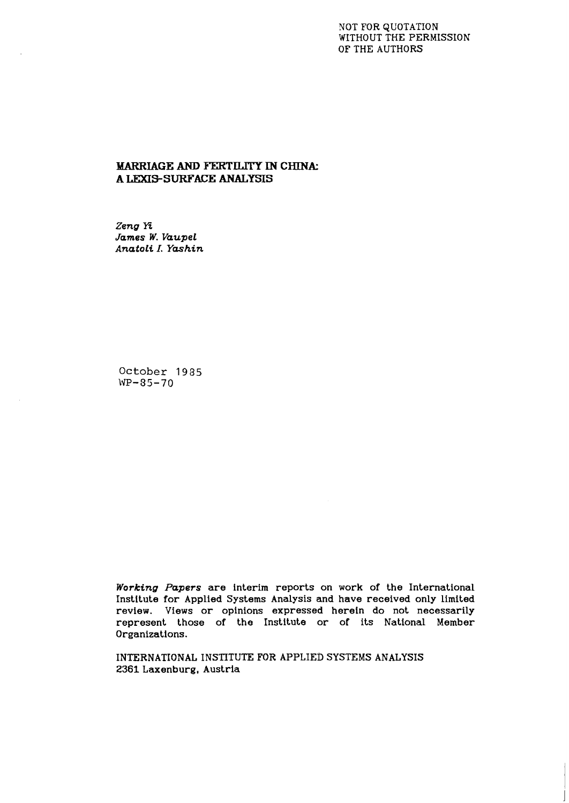### NOT FOR QUOTATION WITHOUT THE PERMISSION OF THE AUTHORS

## **MARRIAGE** *AND* **FERTILITY IN CHINA: A LEXIS-SURFACE ANALYSIS**

*Zeng* **Tz**  *James W. Vaupel Anatoli I. Yashin* 

October 1985 **WP-85-70** 

*Working Papers* are interim reports on work of the International Institute for Applied Systems Analysis and have received only limited review. Views or opinions expressed herein do not necessarily represent those of the Institute or of its National Member Organizations.

INTERNATIONAL INSTITUTE FOR APPLIED SYSTEMS ANALYSIS 2361 Laxenburg, Austria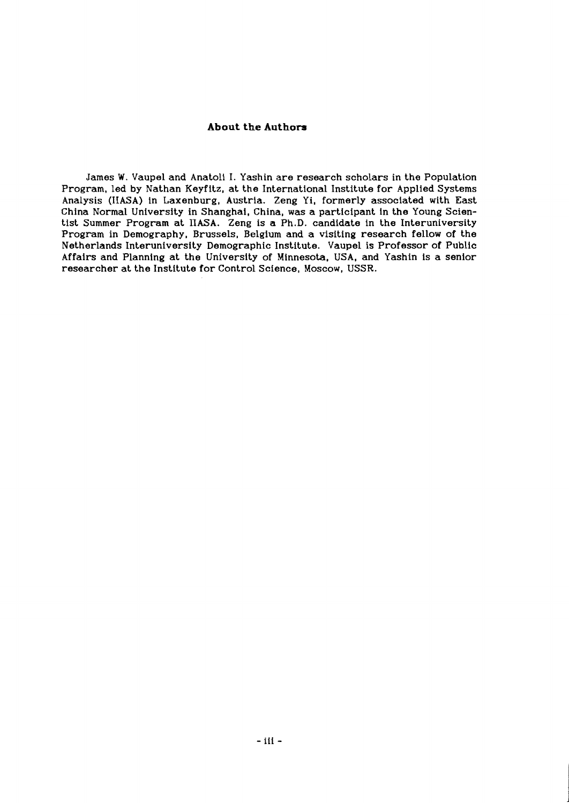### **About the Authors**

James W. Vaupel and Anatoli I. Yashin are research scholars in the Population Program, led by Nathan Keyfitz, at the International Institute for Applied Systems Analysis (IIASA) in Laxenburg, Austria. Zeng Yi, formerly associated with East China Normal University in Shanghai, China, was a participant in the Young Scientist Summer Program at IIASA. Zeng is a Ph.D. candidate in the Interuniversity Program in Demography, Brussels, Belgium and a visiting research fellow of the Netherlands Interuniversity Demographic Institute. Vaupel is Professor of Public Affairs and Planning at the University of Minnesota, USA, and Yashin is a senior researcher at the Institute for Control Science, Moscow, USSR.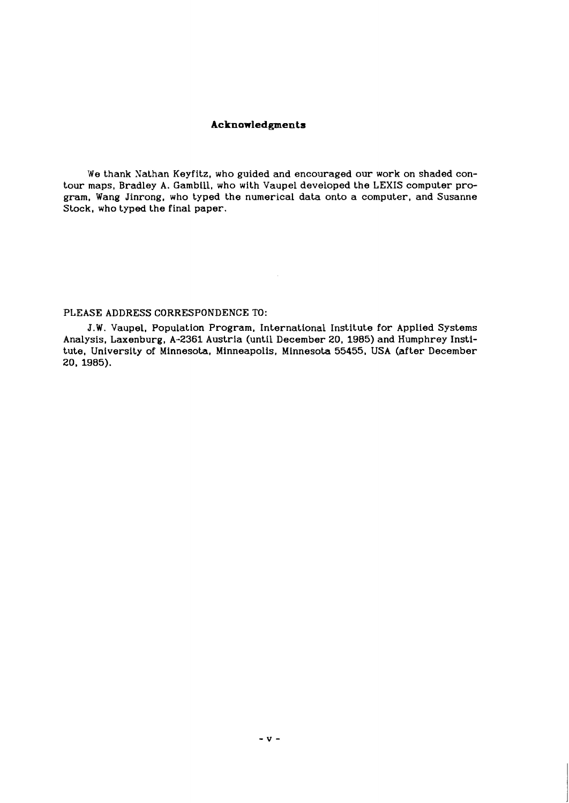### **Acknowledgments**

We thank Nathan Keyfitz, who guided and encouraged our work on shaded contour maps, Bradley A. Gambill, who with Vaupel developed the LEXIS computer program. Wang Jinrong, who typed the numerical data onto a computer, and Susanne Stock, who typed the final paper.

#### PLEASE ADDRESS CORRESPONDENCE TO:

**J.W.** Vaupel, Population Program, International Institute for Applied Systems Analysis, Laxenburg, A-2361 Austria (until December 20, 1985) and Humphrey Institute, University of Minnesota, Minneapolis, Minnesota 55455, USA (after December 20, 1985).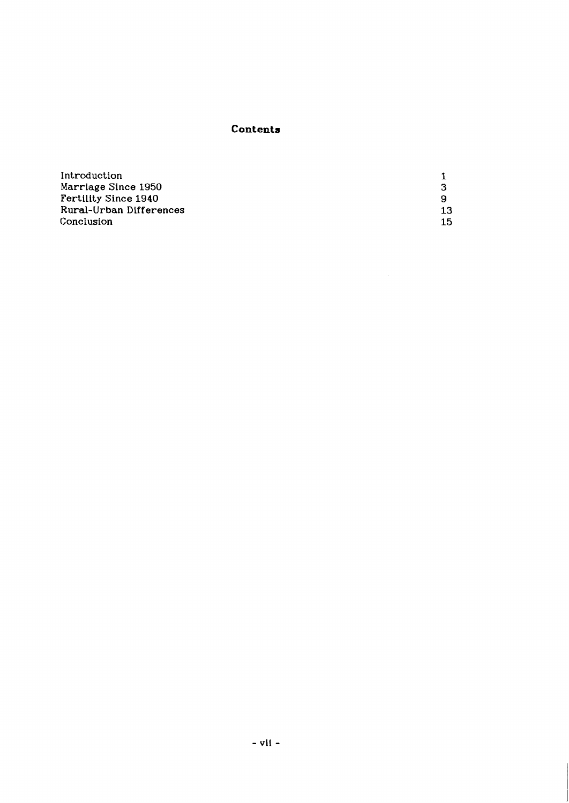# **Contents**

| Introduction                |     |
|-----------------------------|-----|
| Marriage Since 1950         | 3   |
| <b>Fertility Since 1940</b> | 9   |
| Rural-Urban Differences     | 13. |
| Conclusion                  | 15. |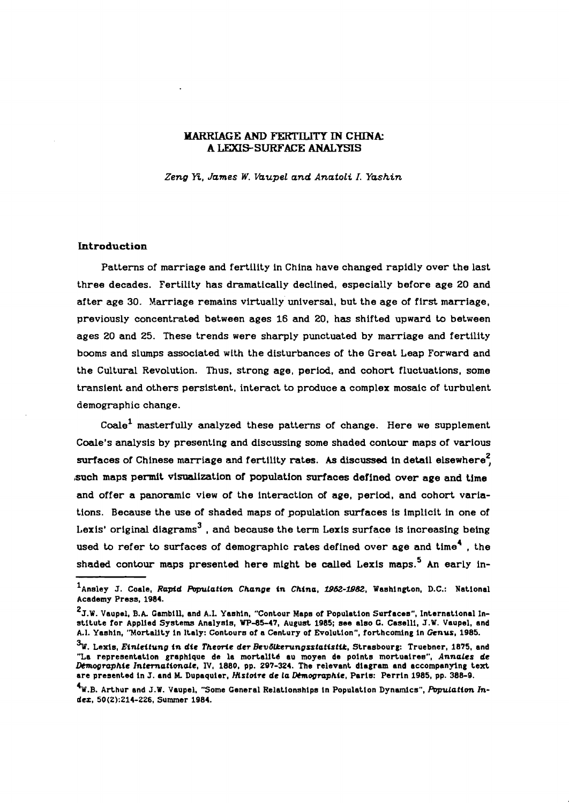### **MARRIAGE AND FERTILITY IN CHINA: A LEXIS-SURFACE ANALYSIS**

*Zeng* **Tt,** *James W. Vaupel and Anatoli I. Yashin* 

### **Introduction**

Patterns of marriage and fertility in China have changed rapidly over the last three decades. Fertility has dramatically declined, especially before age **20** and after age **30.** Marriage remains virtually' universal, but the age of first marriage, previously concentrated between ages 16 and **20,** has shifted upward to between ages **20** and **25.** These trends were sharply punctuated by marriage and fertility booms and slumps associated with the disturbances of the Great Leap Forward and the Cultural Revolution. Thus, strong age, period. and cohort fluctuations, some transient and others persistent, interact to produce a complex mosaic of turbulent demographic change.

 $Coale<sup>1</sup>$  masterfully analyzed these patterns of change. Here we supplement Coale's analysis by presenting and discussing some shaded contour maps of various surfaces of Chinese marriage and fertility rates. As discussed in detail elsewhere<sup>2</sup>. ,such maps permit visualization of population surfaces defined over age and time and offer a panoramic view of the interaction of age, period, and cohort variations. Because the use of shaded maps of population surfaces is implicit in one of Lexis' original diagrams<sup>3</sup>, and because the term Lexis surface is increasing being used to refer to surfaces of demographic rates defined over age and time<sup>4</sup>. the shaded contour maps presented here might be called Lexis maps.<sup>5</sup> An early in-

<sup>&</sup>lt;sup>1</sup>Ansley J. Coale, Rapid Population Change in China, 1952-1982, Washington, D.C.: National **Academy Press,** 1984.

<sup>&#</sup>x27;5.w. **Vaupel,** B.A. **Cambill, and A.I. Yaahin, "Contour Mapa of Population Surlacea", International Institute for Applled Systems Analyaia,** WP-85-47, **August** 1985; **see also C. Caselli, J.W. Vaupel, and**  A.1. Yashin, "Mortality in Italy: Contours of a Century of Evolution", forthcoming in Genus, 1985.

 $3$ W. Lexis, *Einleitung in die Theorie der Bevölkerungsstatistik*, Strasbourg: Truebner, 1875, and **"La representation graphique de la mortalltd au moyen de points mortuairea", AnnaLes de hographie Zntemationde, IV,** 1880, **pp.** 297-324. **The relevant diagram and accompanying text are presented in** J. **and M. Dupaquier, Mstoire de La hographie, Peria: Perrin** 1985, **pp.** 388-9.

 $\mathbf{A}_{\mathbf{W},\mathbf{B}}$ . Arthur and J.W. Vaupel, "Some General Relationships in Population Dynamics", Population In**dez,** 50(2):214-226, **Summer** 1984.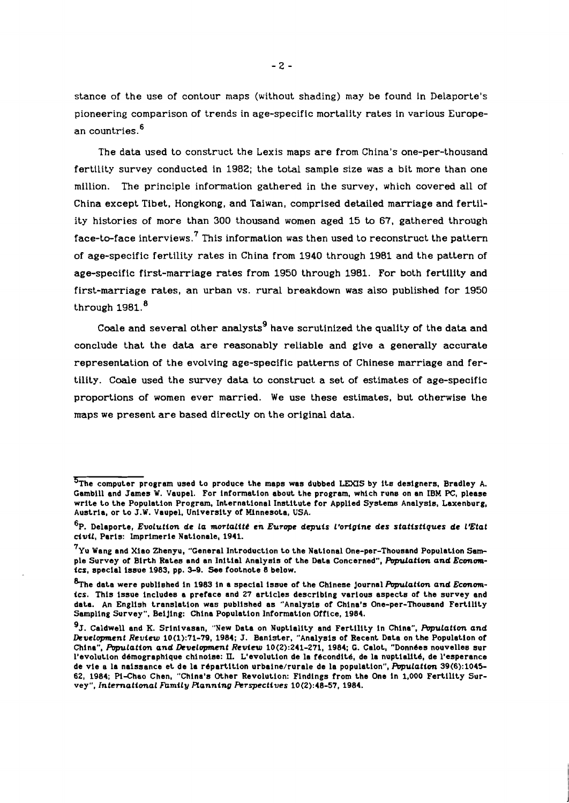stance of the use of contour maps (without shading) may be found in Delaporte's pioneering comparison of trends in age-specific mortality rates in various European countries. 6

The data used to construct the Lexis maps are from China's one-per-thousand fertility survey conducted in 1982; the total sample size was a bit more than one million. The principle information gathered in the survey, which covered all of China except Tibet, Hongkong, and Taiwan, comprised detailed marriage and fertility histories of more than 300 thousand women aged 15 to 67, gathered through face-to-face interviews.<sup>7</sup> This information was then used to reconstruct the pattern of age-specific fertility rates in China from 1940 through 1981 and the pattern of age-specific first-marriage rates from 1950 through 1981. For both fertility and first-marriage rates, an urban vs. rural breakdown was also published for 1950 through  $1981.<sup>8</sup>$ 

Coale and several other analysts<sup>9</sup> have scrutinized the quality of the data and conclude that the data are reasonably reliable and give a generally accurate representation of the evolving age-specific patterns of Chinese marriage and fertility. Coale used the survey data to construct a set of estimates of age-specific proportions of women ever married. We use these estimates, but otherwise the maps we present are based directly on the original data.

 $5$ The computer program used to produce the maps was dubbed LEXIS by its designers, Bradley A. Gambill and James W. Vaupel. For information about the program, which runs on an IBM PC, please write to the Population Program, International Institute for Applied Systems Analysis, Laxenburg, Austria, or to J.W. Vaupel. University of Mlnnesota, USA.

<sup>&</sup>lt;sup>6</sup>P. Delaporte, *Evolution de la mortalité en Europe depuis l'origine des statistiques de l'Etat* **civil,** Paris: Imprimerie Nationale, 1941.

 $7\,$ Yu Wang and Xiao Zhenyu, "General Introduction to the National One-per-Thousand Population Sample Survey of Birth Rates and an Initial Analysis of the Data Concerned", **Population and Economics,** special issue 1983, pp. 3-9. See footnote 8 below.

<sup>%</sup>he data were published in 1983 in a special issue of the Chinese Journal **Population and Economics.** This issue includes a preface and 27 articles describing various aspects of the survey and data. An English translation was published as "Analysis of China's One-per-Thousand Fertility Sampling Survey". BeiJing: China Population Information Office, 1984.

<sup>&#</sup>x27;5. Caldwell and K. Srinlvasan, "New Data on Nuptiality and Fertility in China". **hpulation and Dcuelopment Review** 10(1):71-79, 1984; J. Banister, "Analysis of Recent Data on the Population of China", **Population and Dcuelopment Review** 10(2):241-271, 1984; **C.** Calot, "Donn6es nouvelles sur l'evolution démographique chinoise: II. L'evolution de la fécondité, de la nuptialité, de l'esperance de vie a la naissance et de la r6partition urbaine/rurale de la population", **hpulation** 39(6):1045- 62, 1984; Pi-Chao Chen, "China's Other Revolution: Findings from the One in 1,000 Fertility Survey", **International Fbmily Ranning Ftrspectives** 10(2):48-57, 1984.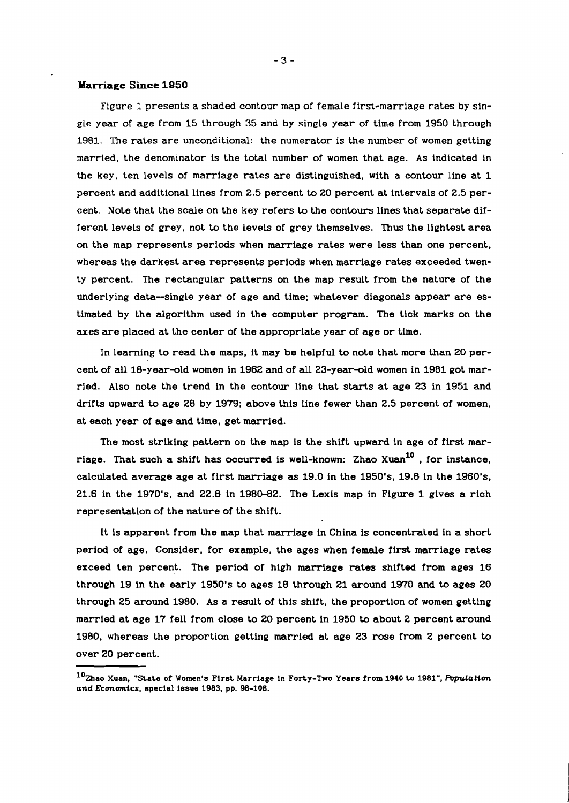#### **Marriage Since 1950**

Figure 1 presents a shaded contour map of female first-marriage rates by single year of age from 15 through 35 and by single year of time from 1950 through 1981. The rates are unconditional: the numerator is the number of women getting married, the denominator is the total number of women that age. As indicated in the key, ten levels of marriage rates are distinguished, with a contour line at 1 percent and additional lines from 2.5 percent to 20 percent at intervals of 2.5 percent. Note that the scale on the key refers to the contours lines that separate different levels of grey, not to the levels of grey themselves. Thus the lightest area on the map represents periods when marriage rates were less than one percent, whereas the darkest area represents periods when marriage rates exceeded twenty percent. The rectangular patterns on the map result from the nature of the underlying data-single year of age and time; whatever diagonals appear are estimated by the algorithm used in the computer program. The tick marks on the axes are placed at the center of the appropriate year of age or time.

In learning to read the maps, it may be helpful to note that more than 20 percent of all 18-year-old women in 1962 and of **all** 23-year-old women in 1981 got married. Also note the trend in the contour line that starts at age 23 in 1951 and drifts upward to age 28 by 1979; above this line fewer than 2.5 percent of women, at each year of age and time, get married.

The most striking pattern on the map is the shift upward in age of first marriage. That such a shift has occurred is well-known: Zhao Xuan<sup>10</sup> , for instance. calculated average age at first marriage **as** 19.0 in the 1950's. 19.8 in the 1960's. 21.6 in the 1970°s, and 22.8 in 1980-82. The Lexis map in Figure 1 gives a rich representation of the nature of the shift.

It is apparent from the map that marriage in China is concentrated in a short period of age. Consider, for example, the ages when female first marriage rates exceed ten percent. The period of high marriage rates shifted from ages 16 through 19 in the early 1950's to ages 18 through 21 around 1970 and to ages 20 through 25 around 1980. As a result of this shift, the proportion of women getting married at age 17 fell from close to 20 percent in 1950 to about 2 percent around 1980, whereas the proportion getting married at age 23 rose from 2 percent to over 20 percent.

<sup>&</sup>lt;sup>10</sup>Zhao Xuan, "State of Women's First Marriage in Forty-Two Years from 1940 to 1981", Population **and Economics, special issue 1983, pp. 98-108.**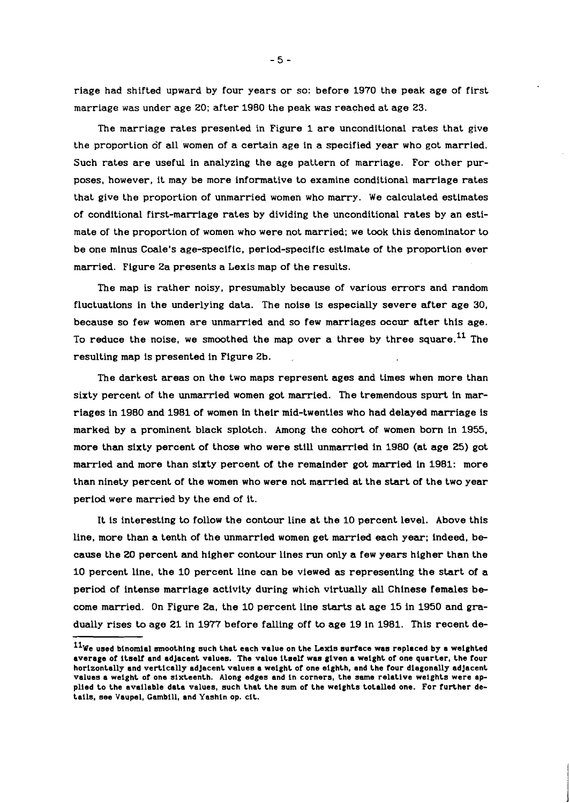riage had shifted upward by four years or so: before 1970 the peak age of first marriage was under age 20; after 1980 the peak was reached at age 23.

The marriage rates presented in Figure 1 are unconditional rates that give the proportion of all women of a certain age in a specified year who got married. Such rates are useful in analyzing the age pattern of marriage. For other purposes, however, it may be more informative to examine conditional marriage rates that give the proportion of unmarried women who marry. We calculated estimates of conditional first-marriage rates by dividing the unconditional rates by an estimate of the proportion of women who were not married; we took this denominator to be one minus Coale's age-specific, period-specific estimate of the proportion ever married. Figure 2a presents a Lexis map of the results.

The map is rather noisy, presumably because of various errors and random fluctuations in the underlying data. The noise is especially severe after age 30, because so few women are unmarried and so few marriages occur after this age. To reduce the noise, we smoothed the map over a three by three square.<sup>11</sup> The resulting map is presented in Figure 2b.

The darkest areas on the two maps represent ages and times when more than sixty percent of the unmarried women got married. The tremendous spurt in marriages in 1980 and 1981 of women in their mid-twenties who had delayed marriage is marked by a prominent black splotch. Among the cohort of women born in 1955. more than sixty percent of those who were still unmarried in 1980 (at age 25) got married and more than sixty percent of the remainder got married in 1981: more than ninety percent of the women who were not married at the start of the two year period were married by the end of it.

It is interesting to follow the contour line at the 10 percent level. Above this line, more than a tenth of the unmarried women get married each year; indeed, because the 20 percent and higher contour lines run only a few years higher than the 10 percent line, the 10 percent line can be viewed **as** representing the start of a period of intense marriage activity during which virtually all Chinese females become married. On Figure 2a, the 10 percent line starts at age 15 in 1950 and gradually rises to age 21 in 1977 before falling off to age 19 in 1981. This recent de-

 $-5 -$ 

<sup>&</sup>lt;sup>11</sup>We used binomial smoothing such that each value on the Lexis surface was replaced by a weighted **average of itself and adjacent values. The value itself wan given a weight of one quarter, the four horizontally and vertically adjacent valuee a weight of one eighth, and the four diagonally adjacent valuea a weight of one sixteenth. Along edges and in corners, the same relative weights were applied to the available data values, auch that the sum of the weights totalled one. For further details, eee Vaupel, Gambill, and Yashin op. cit.**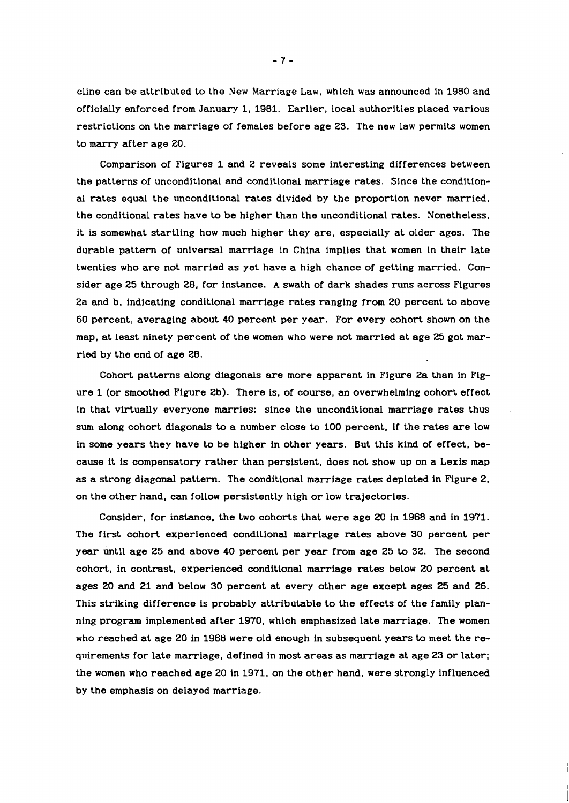cline can be attributed to the New Marriage Law, which was announced in **1980** and officially enforced from January **1, 1981.** Earlier, local authorities placed various restrictions on the marriage of females before age **23.** The new law permits women to marry after age **20.** 

Comparison of Figures **1** and **2** reveals some interesting differences between the patterns of unconditional and conditional marriage rates. Since the conditional rates equal the unconditional rates divided by the proportion never married, the conditional rates have to be higher than the unconditional rates. Nonetheless, it is somewhat startling how much higher they are, especially at older ages. The durable pattern of universal marriage in China implies that women in their late twenties who are not married as yet have a high chance of getting married. Consider age **25** through **28,** for instance. **A** swath of dark shades runs across Figures **2a** and b, indicating conditional marriage rates ranging from **20** percent to above **60** percent, averaging about **40** percent per year. For every cohort shown on the map, at least ninety percent of the women who were not married at age **25** got married by the end of age **28.** 

Cohort patterns along diagonals are more apparent in Figure **2a** than in Figure **1** (or smoothed Figure **2b).** There is, of course, an overwhelming cohort effect in that virtually everyone marries: since the unconditional marriage rates thus sum along cohort diagonals to a number close to **100** percent, if the rates are low in some years they have to be higher in other years. But this kind of effect, because it is compensatory rather than persistent, does not show up on a Lexis map as a strong diagonal pattern. The conditional marriage rates depicted in Figure **2,**  on the other hand, can follow persistently high or low trajectories.

Consider, for instance, the two cohorts that were age **20** in **1968** and in **1971.**  The first cohort experienced conditional marriage rates above **30** percent per year until age **25** and above **40** percent per year from age **25** to **32.** The second cohort, in contrast, experienced conditional marriage rates below **20** percent at ages **20** and **21** and below **30** percent at every other age except ages **25** and **26.**  This striking difference is probably attributable to the effects of the family planning program implemented after **1970,** which emphasized late marriage. The women who reached at age **20** in **1968** were old enough in subsequent years to meet the requirements for late marriage, defined in most areas as marriage at age **23** or later; the women who reached age **20** in **1971,** on the other hand, were strongly influenced by the emphasis on delayed marriage.

 $-7-$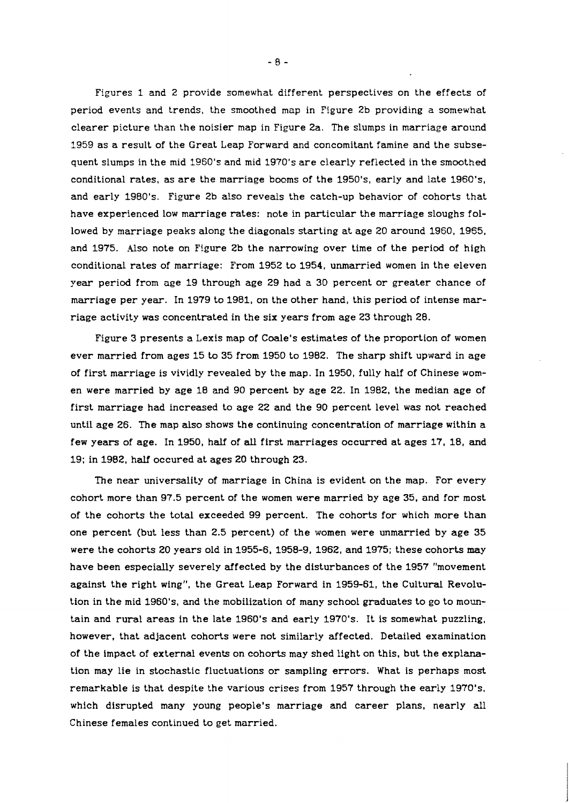Figures 1 and 2 provide somewhat different perspectives on the effects of period events and trends, the smoothed map in Figure 2b providing a somewhat clearer picture than the noisier map in Figure 2a. The slumps in marriage around 1959 as a result of the Great Leap Forward and concomitant famine and the subsequent slumps in the mid 1960's and mid 1970's are clearly reflected in the smoothed conditional rates, as are the marriage booms of the 1950's, early and late 1960's, and early 1980's. Figure 2b also reveals the catch-up behavior of cohorts that have experienced low marriage rates: note in particular the marriage sloughs followed by marriage peaks along the diagonals starting at age 20 around 1960, 1955, and 1975. Also note on Figure 2b the narrowing over time of the period of high conditional rates of marriage: From 1952 to 1954, unmarried women in the eleven year period from age 19 through age 29 had a 30 percent or greater chance of marriage per year. In 1979 to 1981, on the other hand, this period of intense mar- riage activity was concentrated in the six years from age 23 through 28.

Figure 3 presents a Lexis map of Coale's estimates of the proportion of women ever married from ages 15 to 35 from 1950 to 1982. The sharp shift upward in age of first marriage is vividly revealed by the map. In 1950, fully half of Chinese women were married by age 18 and 90 percent by age 22. In 1982, the median age of first marriage had increased to age 22 and the 90 percent level was not reached until age 26. The map also shows the continuing concentration of marriage within a few years of age. In 1950, half of **all** first marriages occurred at ages 17, 18, and 19; in 1982, **half** occured at ages 20 through 23.

The near universality of marriage in China is evident on the map. For every cohort more than 97.5 percent of the women were married by age 35, and for most of the cohorts the total exceeded 99 percent. The cohorts for which more than one percent (but less than 2.5 percent) of the women were unmarried by age 35 were the cohorts 20 years old in 1955-6, 1958-9, 1962, and 1975; these cohorts may have been especially severely affected by the disturbances of the 1957 "movement against the right wing", the Great Leap Forward in 1959-61, the Cultural Revolution in the mid 1960's, and the mobilization of many school graduates to go to mountain and rural areas in the late 1960's and early 1970's. It is somewhat puzzling, however, that adjacent cohorts were not similarly affected. Detailed examination of the impact of external events on cohorts may shed light on this, but the explanation may lie in stochastic fluctuations or sampling errors. What is perhaps most remarkable is that despite the various crises from 1957 through the early 1970's, which disrupted many young people's marriage and career plans, nearly **all**  Chinese females continued to get married.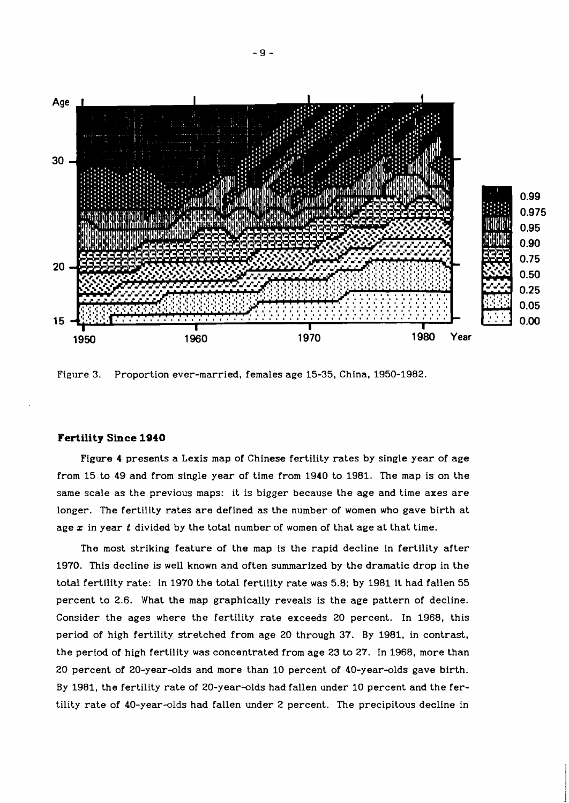

Figure 3. Proportion ever-married, females age 15-35, China, 1950-1982.

### **Fertility Since 1940**

Figure 4 presents a Lexis map of Chinese fertility rates by single year of age from 15 to 49 and from single year of time from 1940 to 1981. The map is on the same scale as the previous maps: it is bigger because the age and time axes are longer. The fertility rates are defined as the number of women who gave birth at age x in year t divided by the total number of women of that age at that time.

The most striking feature of the map is the rapid decline in fertility after 1970. This decline is well known and often summarized by the dramatic drop in the total fertility rate: in 1970 the total fertility rate was 5.8; by 1981 it had fallen 55 percent to 2.6. What the map graphically reveals is the age pattern of decline. Consider the ages where the fertility rate exceeds 20 percent. In 1968, this period of high fertility stretched from age 20 through 37. By 1981, in contrast, the period of high fertility was concentrated from age 23 to 27. In 1968, more than 20 percent of 20-year-olds and more than 10 percent of 40-year-olds gave birth. By 1981, the fertility rate of 20-year-olds had fallen under 10 percent and the fertility rate of 40-year-olds had fallen under 2 percent. The precipitous decline in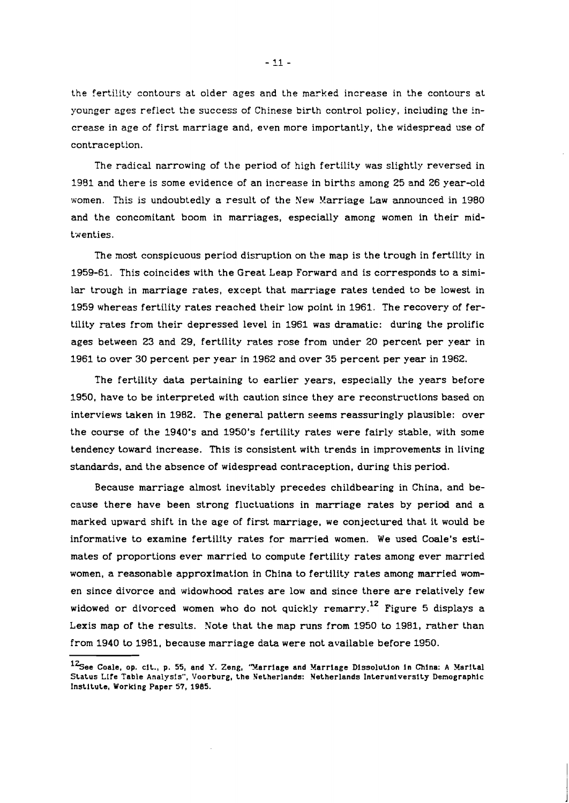the ferti!ity contours at older ages and the marked increase in the contours at younger ages reflect the success of Chinese birth control policy, including the increase in age of first marriage and, even more importantly, the widespread use of contraception.

The radical narrowing of the period of high fertility was slightly reversed in 1991 and there is some evidence of an increase in births among 25 and 26 year-old women. This is undoubtedly a result of the New Marriage Law announced in 1980 and the concomitant boom in marriages, especially among women in their midtxenties.

The most conspicuous period disruption on the map is the trough in fertility in 1959-61. This coincides with the Great Leap Forward and is corresponds to a similar trough in marriage rates, except that marriage rates tended to be lowest in 1959 whereas fertility rates reached their low point in 1961. The recovery of fertility rates from their depressed level in 1961 was dramatic: during the prolific ages between 23 and 29, fertility rates rose from under 20 percent per year in 1961 to over 30 percent per year in 1962 and over 35 percent per year in 1962.

The fertility data pertaining to earlier years, especially the years before 1950, have to be interpreted with caution since they are reconstructions based on interviews taken in 1982. The general pattern seems reassuringly plausible: over the course of the 1940's and 1950's fertility rates were fairly stable, with some tendency toward increase. This is consistent with trends in improvements in living standards, and the absence of widespread contraception, during this period.

Because marriage almost inevitably precedes childbearing in China, and because there have been strong fluctuations in marriage rates by period and a marked upward shift in the age of first marriage, we conjectured that it would be informative to examine fertility rates for married women. We used Coale's estimates of proportions ever married to compute fertility rates among ever married women, a reasonable approximation in China to fertility rates among married women since divorce and widowhood rates are low and since there are relatively few widowed or divorced women who do not quickly remarry.<sup>12</sup> Figure 5 displays a Lexis map of the results. Note that the map runs from 1950 to 1981, rather than from 1940 to 1981, because marriage data were not available before 1950.

<sup>&</sup>lt;sup>12</sup>See Coale, op. cit., p. 55, and Y. Zeng, 'Marriage and Marriage Dissolution in China: A Marital **Status Life Table Analysis", Voorburg, the Netherlands: Netherlands Interuniversity Demographic Institute, Working Paper 57,** 1985.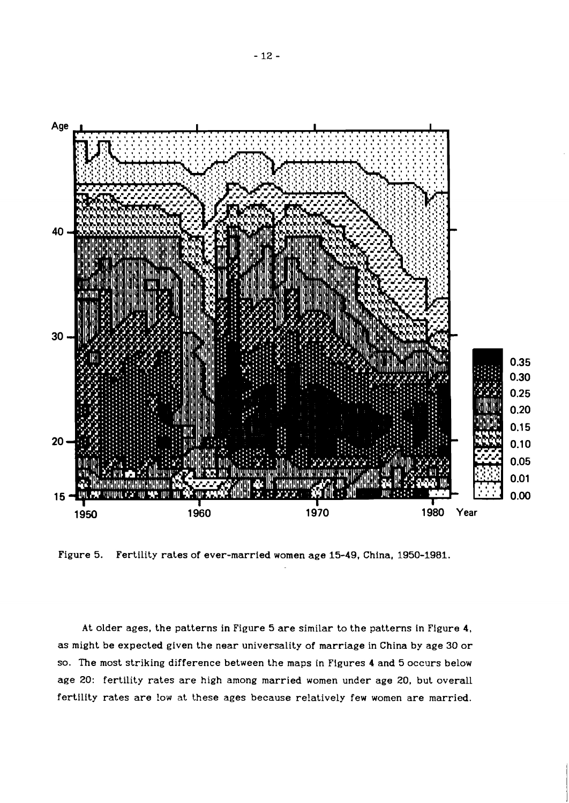

Figure 5. Fertility rates of ever-married women age 15-49, China, 1950-1981.

At older ages, the patterns in Figure 5 are similar to the patterns in Figure 4, as might be expected given the near universality of marriage in China by age 30 or so. The most striking difference between the maps in Figures 4 and 5 occurs below age 20: fertility rates are high among married women under age 20, but overall fertility rates are low at these ages because relatively few women are married.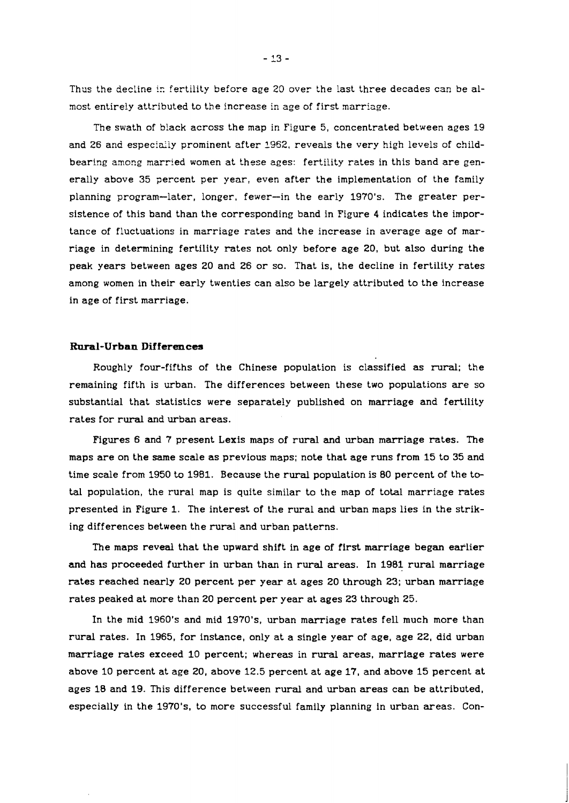Thus the decline in fertility before age 20 over the last three decades can be almost entirely attributed to the increase in age of first marriage.

The swath of black across the map in Figure 5, concentrated between ages 19 and 26 and especialiy prominent after 1962, reveals the very high levels of childbearing among married women at these ages: fertility rates in this band are generally above 35 percent per year, even after the implementation of the family planning program-later, longer, fewer-in the early 1970's. The greater persistence of this band than the corresponding band in Figure 4 indicates the importance of fluctuations in marriage rates and the increase in average age of marriage in determining fertility rates not only before age 20, but also during the peak years between ages 20 and 26 or so. That is, the decline in fertility rates among women in their early twenties can also be largely attributed to the increase in age of first marriage.

#### **Rural-Urban Differences**

Roughly four-fifths of the Chinese population is classified as rural; the remaining fifth is wban. The differences between these two populations are so substantial that statistics were separately published on marriage and fertility rates for rural and urban areas.

Figures 6 and 7 present Lexis maps of rural and urban marriage rates. The maps are on the same scale as previous maps; note that age runs from 15 to 35 and time scale from 1950 to 1981. Because the rural population is 80 percent of the total population, the rural map is quite similar to the map of total marriage rates presented in Figure 1. The interest of the rural and urban maps lies in the striking differences between the rural and urban patterns.

The maps reveal that the upward shift in age of first marriage began eaflier and has proceeded further in urban than in rural areas. In 1981 rural marriage rates reached nearly 20 percent per year at ages 20 through 23; urban marriage rates peaked at more than 20 percent per year at ages 23 through 25.

In the mid 1960's and mid 1970's, urban marriage rates fell much more than rural rates. In 1965, for instance, only at a single year of age, age 22, did urban marriage rates exceed 10 percent; whereas in rural areas, marriage rates were above 10 percent at age 20, above 12.5 percent at age 17, and above 15 percent at ages 18 and 19. This difference between rural and urban areas can be attributed, especially in the 1970's, to more successful family planning in urban areas. Con-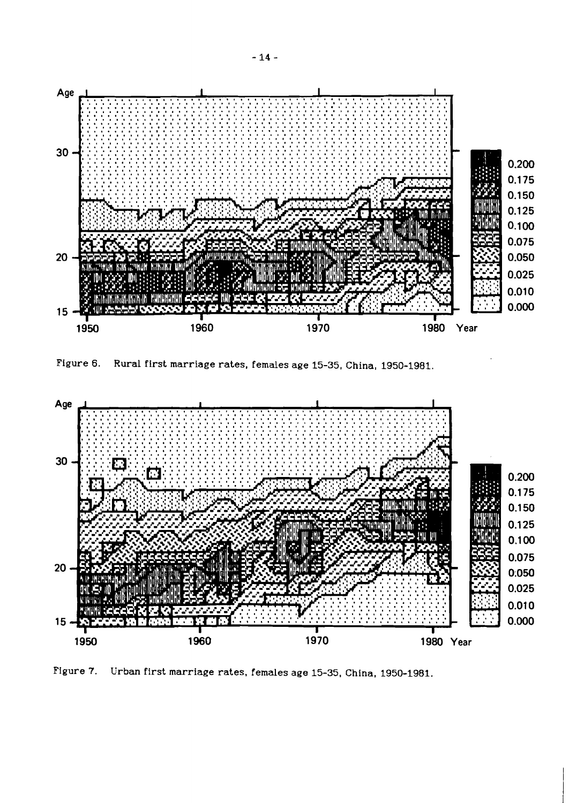

Figure 6. Rural first marriage rates, females age **15-35,** China, **1950-1981.** 



Figure 7. Urban first marriage rates, females age **15-35,** China, **1950-1981.**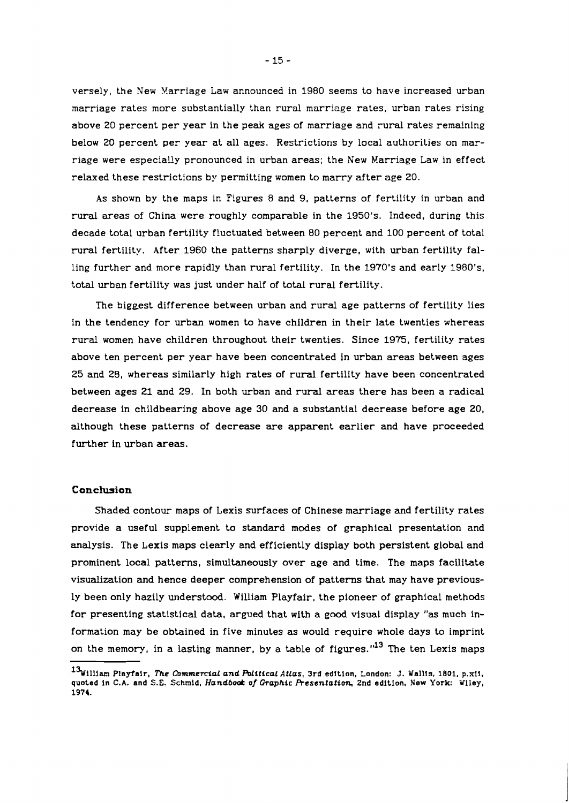versely, the New Yarriage Law announced in 1980 seems to have increased urban marriage rates more substantially than rural marriage rates, urban rates rising above 20 percent per year in the peak ages of marriage and rural rates remaining below 20 percent per year at all ages. Restrictions by local authorities on marriage were especially pronounced in urban areas; the New Marriage Law in effect relaxed these restrictions by permitting women to marry after age 20.

As shown by the maps in Figures 8 and 9, patterns of fertility in urban and rural areas of China were roughly comparable in the 1950's. Indeed, during this decade total urban fertility f!uctuated between 80 percent and 100 percent of total rural fertility. After 1960 the patterns sharply diverge, with urban fertility falling further and more rapidly than rural fertility. In the 1970's and early 1980's, total urban fertility was just under half of total rural fertility.

The biggest difference between urban and rural age patterns of fertility lies in the tendency for urban women to have children in their late twenties whereas rural women have children throughout their twenties. Since 19'75, fertility rates above ten percent per year have been concentrated in urban areas between ages 25 and 28, whereas similarly high rates of rural fertility have been concentrated between ages 21 and 29. In both urban and rural areas there has been a radical decrease in childbearing above age 30 and a substantial decrease before age 20, although these patterns of decrease are apparent earlier and have proceeded further in urban areas.

#### Conclusion

Shaded contour maps of Lexis surfaces of Chinese marriage and fertility rates provide a useful supplement to standard modes of graphical presentation and analysis. The Lexis maps clearly and efficiently display both persistent global and prominent local patterns, simultaneously over age and time. The maps facilitate visualization and hence deeper comprehension of patterns that may have previously been only hazily understood. William Playfair, the pioneer of graphical methods for presenting statistical data, argued that with a good visual display "as much information may be obtained in five minutes as would require whole days to imprint on the memory, in a lasting manner, by a table of figures."<sup>13</sup> The ten Lexis maps

<sup>13&</sup>lt;sup>w</sup>illiam Playfair, *The Commercial and Political Atlas*, 3rd edition, London: J. Wallis, 1801, p.xii, quoted in C.A. and S.E. Schmid, **Handbod:** of **Graphic Resentation,** 2nd edition, New York: Wiley, 1974.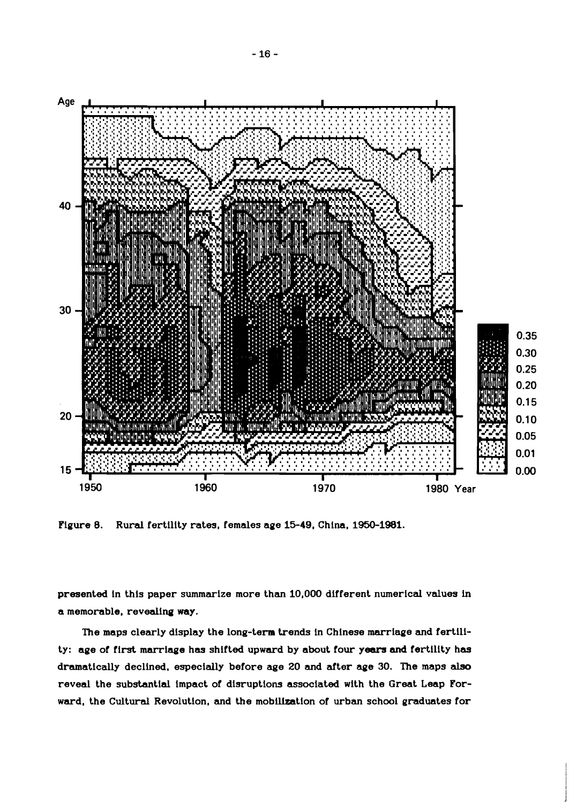

Figure 8. Rural fertility rates, females age 15-49, China, 1950-1981.

presented in this paper summarize more than 10,000 different numerical values in a memorable, revealinq **way.** 

The maps clearly display the long-term trends in Chinese marriage and fertility: age of first marriage has shifted upward by about four **years and** fertility **has**  dramatically declined. especially before age 20 and after age 30. The maps also reveal the substantial impact of disruptions associated with the Great Leap Forward, the Cultural Revolution, and the mobilization of urban school graduates for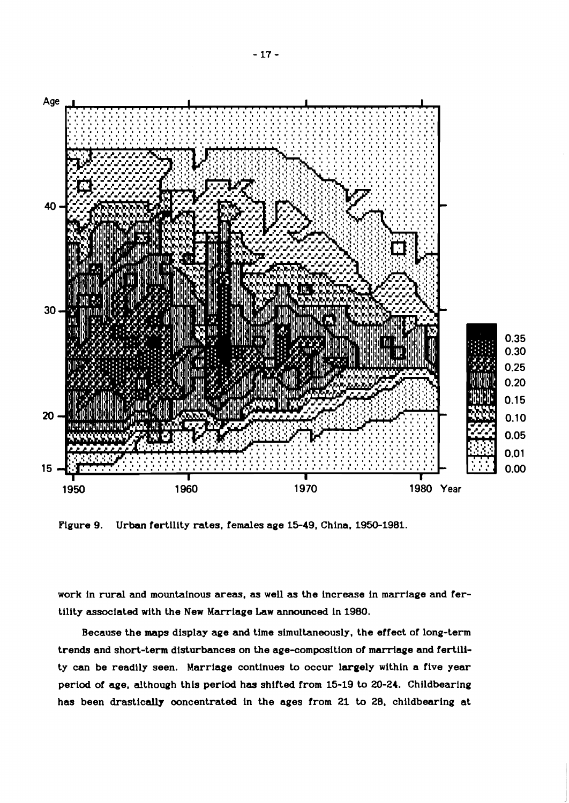

Figure 9. Urban fertility rates, females age 15-49, China, 1950-1981.

work in **rural** and mountainous areas, as well as the increase in marriage and fertility associated with the New Marriage Law announced in 1980.

Because the maps display age and time simultaneously, the effect of long-term trends and short-term disturbances on the age-composition of marriage and fertility can be readily seen. Marriage continues to occur largely within a five year period of age, although this period has shifted from 15-19 to 20-24. Childbearing has been drastically ooncentrated in the ages from 21 to 28, childbearing at